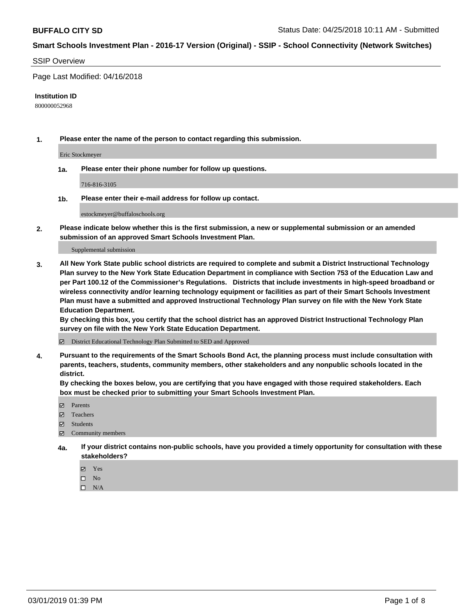#### SSIP Overview

Page Last Modified: 04/16/2018

#### **Institution ID**

800000052968

**1. Please enter the name of the person to contact regarding this submission.**

Eric Stockmeyer

**1a. Please enter their phone number for follow up questions.**

716-816-3105

**1b. Please enter their e-mail address for follow up contact.**

estockmeyer@buffaloschools.org

**2. Please indicate below whether this is the first submission, a new or supplemental submission or an amended submission of an approved Smart Schools Investment Plan.**

Supplemental submission

**3. All New York State public school districts are required to complete and submit a District Instructional Technology Plan survey to the New York State Education Department in compliance with Section 753 of the Education Law and per Part 100.12 of the Commissioner's Regulations. Districts that include investments in high-speed broadband or wireless connectivity and/or learning technology equipment or facilities as part of their Smart Schools Investment Plan must have a submitted and approved Instructional Technology Plan survey on file with the New York State Education Department.** 

**By checking this box, you certify that the school district has an approved District Instructional Technology Plan survey on file with the New York State Education Department.**

District Educational Technology Plan Submitted to SED and Approved

**4. Pursuant to the requirements of the Smart Schools Bond Act, the planning process must include consultation with parents, teachers, students, community members, other stakeholders and any nonpublic schools located in the district.** 

**By checking the boxes below, you are certifying that you have engaged with those required stakeholders. Each box must be checked prior to submitting your Smart Schools Investment Plan.**

- **□** Parents
- Teachers
- Students
- $\boxtimes$  Community members
- **4a. If your district contains non-public schools, have you provided a timely opportunity for consultation with these stakeholders?**
	- Yes
	- $\qquad \qquad$  No
	- $\square$  N/A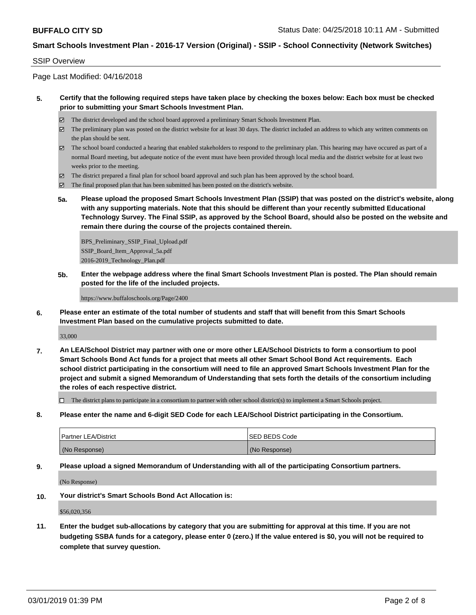#### SSIP Overview

Page Last Modified: 04/16/2018

### **5. Certify that the following required steps have taken place by checking the boxes below: Each box must be checked prior to submitting your Smart Schools Investment Plan.**

- The district developed and the school board approved a preliminary Smart Schools Investment Plan.
- $\boxtimes$  The preliminary plan was posted on the district website for at least 30 days. The district included an address to which any written comments on the plan should be sent.
- $\boxtimes$  The school board conducted a hearing that enabled stakeholders to respond to the preliminary plan. This hearing may have occured as part of a normal Board meeting, but adequate notice of the event must have been provided through local media and the district website for at least two weeks prior to the meeting.
- The district prepared a final plan for school board approval and such plan has been approved by the school board.
- $\boxtimes$  The final proposed plan that has been submitted has been posted on the district's website.
- **5a. Please upload the proposed Smart Schools Investment Plan (SSIP) that was posted on the district's website, along with any supporting materials. Note that this should be different than your recently submitted Educational Technology Survey. The Final SSIP, as approved by the School Board, should also be posted on the website and remain there during the course of the projects contained therein.**

BPS\_Preliminary\_SSIP\_Final\_Upload.pdf SSIP\_Board\_Item\_Approval\_5a.pdf 2016-2019\_Technology\_Plan.pdf

**5b. Enter the webpage address where the final Smart Schools Investment Plan is posted. The Plan should remain posted for the life of the included projects.**

https://www.buffaloschools.org/Page/2400

**6. Please enter an estimate of the total number of students and staff that will benefit from this Smart Schools Investment Plan based on the cumulative projects submitted to date.**

33,000

**7. An LEA/School District may partner with one or more other LEA/School Districts to form a consortium to pool Smart Schools Bond Act funds for a project that meets all other Smart School Bond Act requirements. Each school district participating in the consortium will need to file an approved Smart Schools Investment Plan for the project and submit a signed Memorandum of Understanding that sets forth the details of the consortium including the roles of each respective district.**

 $\Box$  The district plans to participate in a consortium to partner with other school district(s) to implement a Smart Schools project.

**8. Please enter the name and 6-digit SED Code for each LEA/School District participating in the Consortium.**

| <b>Partner LEA/District</b> | ISED BEDS Code |
|-----------------------------|----------------|
| (No Response)               | (No Response)  |

**9. Please upload a signed Memorandum of Understanding with all of the participating Consortium partners.**

(No Response)

**10. Your district's Smart Schools Bond Act Allocation is:**

\$56,020,356

**11. Enter the budget sub-allocations by category that you are submitting for approval at this time. If you are not budgeting SSBA funds for a category, please enter 0 (zero.) If the value entered is \$0, you will not be required to complete that survey question.**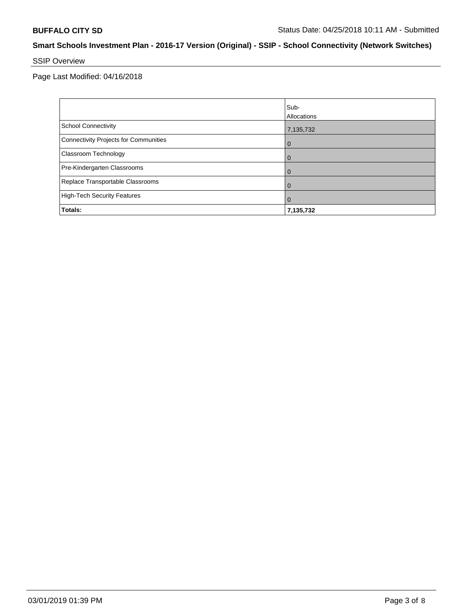# SSIP Overview

Page Last Modified: 04/16/2018

|                                       | Sub-<br>Allocations |
|---------------------------------------|---------------------|
| School Connectivity                   | 7,135,732           |
| Connectivity Projects for Communities | $\overline{0}$      |
| <b>Classroom Technology</b>           | $\overline{0}$      |
| Pre-Kindergarten Classrooms           | $\mathbf 0$         |
| Replace Transportable Classrooms      | $\Omega$            |
| High-Tech Security Features           | $\mathbf 0$         |
| Totals:                               | 7,135,732           |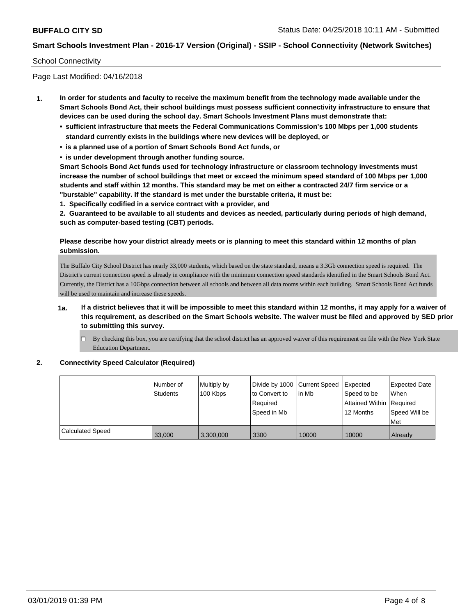#### School Connectivity

Page Last Modified: 04/16/2018

- **1. In order for students and faculty to receive the maximum benefit from the technology made available under the Smart Schools Bond Act, their school buildings must possess sufficient connectivity infrastructure to ensure that devices can be used during the school day. Smart Schools Investment Plans must demonstrate that:**
	- **• sufficient infrastructure that meets the Federal Communications Commission's 100 Mbps per 1,000 students standard currently exists in the buildings where new devices will be deployed, or**
	- **• is a planned use of a portion of Smart Schools Bond Act funds, or**
	- **• is under development through another funding source.**

**Smart Schools Bond Act funds used for technology infrastructure or classroom technology investments must increase the number of school buildings that meet or exceed the minimum speed standard of 100 Mbps per 1,000 students and staff within 12 months. This standard may be met on either a contracted 24/7 firm service or a "burstable" capability. If the standard is met under the burstable criteria, it must be:**

**1. Specifically codified in a service contract with a provider, and**

**2. Guaranteed to be available to all students and devices as needed, particularly during periods of high demand, such as computer-based testing (CBT) periods.**

### **Please describe how your district already meets or is planning to meet this standard within 12 months of plan submission.**

The Buffalo City School District has nearly 33,000 students, which based on the state standard, means a 3.3Gb connection speed is required. The District's current connection speed is already in compliance with the minimum connection speed standards identified in the Smart Schools Bond Act. Currently, the District has a 10Gbps connection between all schools and between all data rooms within each building. Smart Schools Bond Act funds will be used to maintain and increase these speeds.

- **1a. If a district believes that it will be impossible to meet this standard within 12 months, it may apply for a waiver of this requirement, as described on the Smart Schools website. The waiver must be filed and approved by SED prior to submitting this survey.**
	- $\Box$  By checking this box, you are certifying that the school district has an approved waiver of this requirement on file with the New York State Education Department.

#### **2. Connectivity Speed Calculator (Required)**

|                         | l Number of<br>Students | Multiply by<br>100 Kbps | Divide by 1000 Current Speed<br>to Convert to<br>Reauired<br>Speed in Mb | in Mb | <b>Expected</b><br>Speed to be<br><b>Attained Within   Required</b><br>12 Months | <b>Expected Date</b><br><b>When</b><br>Speed Will be<br>l Met |
|-------------------------|-------------------------|-------------------------|--------------------------------------------------------------------------|-------|----------------------------------------------------------------------------------|---------------------------------------------------------------|
| <b>Calculated Speed</b> | 33,000                  | 3,300,000               | 3300                                                                     | 10000 | 10000                                                                            | Already                                                       |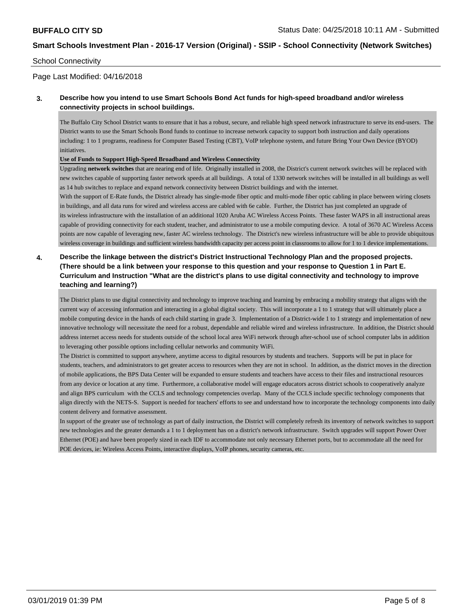### School Connectivity

## Page Last Modified: 04/16/2018

## **3. Describe how you intend to use Smart Schools Bond Act funds for high-speed broadband and/or wireless connectivity projects in school buildings.**

The Buffalo City School District wants to ensure that it has a robust, secure, and reliable high speed network infrastructure to serve its end-users. The District wants to use the Smart Schools Bond funds to continue to increase network capacity to support both instruction and daily operations including: 1 to 1 programs, readiness for Computer Based Testing (CBT), VoIP telephone system, and future Bring Your Own Device (BYOD) initiatives.

#### **Use of Funds to Support High-Speed Broadband and Wireless Connectivity**

Upgrading **network switches** that are nearing end of life. Originally installed in 2008, the District's current network switches will be replaced with new switches capable of supporting faster network speeds at all buildings. A total of 1330 network switches will be installed in all buildings as well as 14 hub switches to replace and expand network connectivity between District buildings and with the internet.

With the support of E-Rate funds, the District already has single-mode fiber optic and multi-mode fiber optic cabling in place between wiring closets in buildings, and all data runs for wired and wireless access are cabled with 6e cable. Further, the District has just completed an upgrade of its wireless infrastructure with the installation of an additional 1020 Aruba AC Wireless Access Points. These faster WAPS in all instructional areas capable of providing connectivity for each student, teacher, and administrator to use a mobile computing device. A total of 3670 AC Wireless Access points are now capable of leveraging new, faster AC wireless technology. The District's new wireless infrastructure will be able to provide ubiquitous wireless coverage in buildings and sufficient wireless bandwidth capacity per access point in classrooms to allow for 1 to 1 device implementations.

## **4. Describe the linkage between the district's District Instructional Technology Plan and the proposed projects. (There should be a link between your response to this question and your response to Question 1 in Part E. Curriculum and Instruction "What are the district's plans to use digital connectivity and technology to improve teaching and learning?)**

The District plans to use digital connectivity and technology to improve teaching and learning by embracing a mobility strategy that aligns with the current way of accessing information and interacting in a global digital society. This will incorporate a 1 to 1 strategy that will ultimately place a mobile computing device in the hands of each child starting in grade 3. Implementation of a District-wide 1 to 1 strategy and implementation of new innovative technology will necessitate the need for a robust, dependable and reliable wired and wireless infrastructure. In addition, the District should address internet access needs for students outside of the school local area WiFi network through after-school use of school computer labs in addition to leveraging other possible options including cellular networks and community WiFi.

The District is committed to support anywhere, anytime access to digital resources by students and teachers. Supports will be put in place for students, teachers, and administrators to get greater access to resources when they are not in school. In addition, as the district moves in the direction of mobile applications, the BPS Data Center will be expanded to ensure students and teachers have access to their files and instructional resources from any device or location at any time. Furthermore, a collaborative model will engage educators across district schools to cooperatively analyze and align BPS curriculum with the CCLS and technology competencies overlap. Many of the CCLS include specific technology components that align directly with the NETS-S. Support is needed for teachers' efforts to see and understand how to incorporate the technology components into daily content delivery and formative assessment.

In support of the greater use of technology as part of daily instruction, the District will completely refresh its inventory of network switches to support new technologies and the greater demands a 1 to 1 deployment has on a district's network infrastructure. Switch upgrades will support Power Over Ethernet (POE) and have been properly sized in each IDF to accommodate not only necessary Ethernet ports, but to accommodate all the need for POE devices, ie: Wireless Access Points, interactive displays, VoIP phones, security cameras, etc.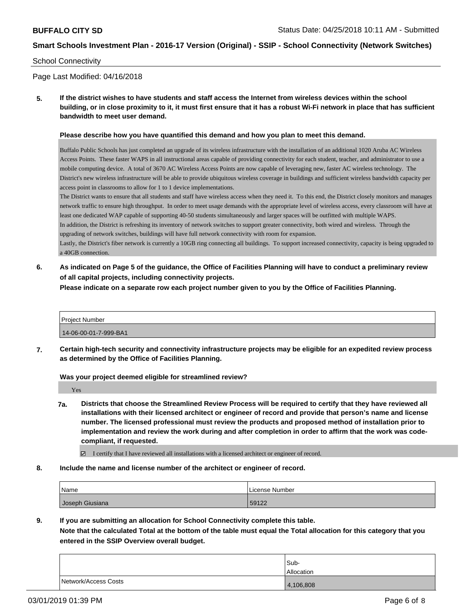#### School Connectivity

Page Last Modified: 04/16/2018

**5. If the district wishes to have students and staff access the Internet from wireless devices within the school building, or in close proximity to it, it must first ensure that it has a robust Wi-Fi network in place that has sufficient bandwidth to meet user demand.**

#### **Please describe how you have quantified this demand and how you plan to meet this demand.**

Buffalo Public Schools has just completed an upgrade of its wireless infrastructure with the installation of an additional 1020 Aruba AC Wireless Access Points. These faster WAPS in all instructional areas capable of providing connectivity for each student, teacher, and administrator to use a mobile computing device. A total of 3670 AC Wireless Access Points are now capable of leveraging new, faster AC wireless technology. The District's new wireless infrastructure will be able to provide ubiquitous wireless coverage in buildings and sufficient wireless bandwidth capacity per access point in classrooms to allow for 1 to 1 device implementations.

The District wants to ensure that all students and staff have wireless access when they need it. To this end, the District closely monitors and manages network traffic to ensure high throughput. In order to meet usage demands with the appropriate level of wireless access, every classroom will have at least one dedicated WAP capable of supporting 40-50 students simultaneously and larger spaces will be outfitted with multiple WAPS.

In addition, the District is refreshing its inventory of network switches to support greater connectivity, both wired and wireless. Through the upgrading of network switches, buildings will have full network connectivity with room for expansion.

Lastly, the District's fiber network is currently a 10GB ring connecting all buildings. To support increased connectivity, capacity is being upgraded to a 40GB connection.

**6. As indicated on Page 5 of the guidance, the Office of Facilities Planning will have to conduct a preliminary review of all capital projects, including connectivity projects.**

**Please indicate on a separate row each project number given to you by the Office of Facilities Planning.**

| Project Number        |  |
|-----------------------|--|
| 14-06-00-01-7-999-BA1 |  |

**7. Certain high-tech security and connectivity infrastructure projects may be eligible for an expedited review process as determined by the Office of Facilities Planning.**

**Was your project deemed eligible for streamlined review?**

Yes

**7a. Districts that choose the Streamlined Review Process will be required to certify that they have reviewed all installations with their licensed architect or engineer of record and provide that person's name and license number. The licensed professional must review the products and proposed method of installation prior to implementation and review the work during and after completion in order to affirm that the work was codecompliant, if requested.**

I certify that I have reviewed all installations with a licensed architect or engineer of record.

**8. Include the name and license number of the architect or engineer of record.**

| Name            | License Number |
|-----------------|----------------|
| Joseph Giusiana | 59122          |

**9. If you are submitting an allocation for School Connectivity complete this table.**

**Note that the calculated Total at the bottom of the table must equal the Total allocation for this category that you entered in the SSIP Overview overall budget.** 

|                      | Sub-              |
|----------------------|-------------------|
|                      | <b>Allocation</b> |
| Network/Access Costs | 4,106,808         |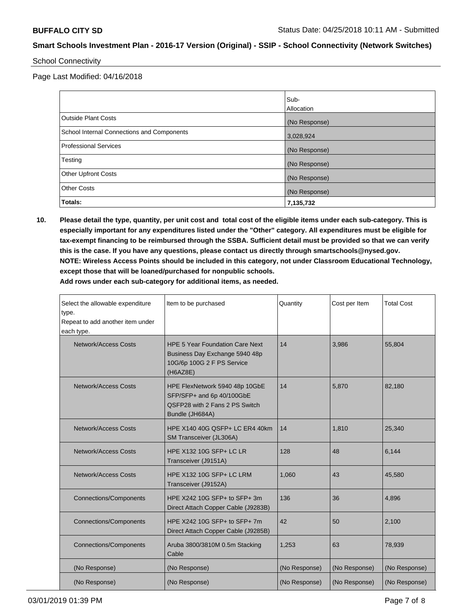School Connectivity

Page Last Modified: 04/16/2018

|                                            | Sub-<br>Allocation |
|--------------------------------------------|--------------------|
| Outside Plant Costs                        | (No Response)      |
| School Internal Connections and Components | 3,028,924          |
| Professional Services                      | (No Response)      |
| Testing                                    | (No Response)      |
| <b>Other Upfront Costs</b>                 | (No Response)      |
| <b>Other Costs</b>                         | (No Response)      |
| Totals:                                    | 7,135,732          |

**10. Please detail the type, quantity, per unit cost and total cost of the eligible items under each sub-category. This is especially important for any expenditures listed under the "Other" category. All expenditures must be eligible for tax-exempt financing to be reimbursed through the SSBA. Sufficient detail must be provided so that we can verify this is the case. If you have any questions, please contact us directly through smartschools@nysed.gov. NOTE: Wireless Access Points should be included in this category, not under Classroom Educational Technology, except those that will be loaned/purchased for nonpublic schools. Add rows under each sub-category for additional items, as needed.**

| Select the allowable expenditure<br>type.<br>Repeat to add another item under<br>each type. | Item to be purchased                                                                                               | Quantity      | Cost per Item | <b>Total Cost</b> |
|---------------------------------------------------------------------------------------------|--------------------------------------------------------------------------------------------------------------------|---------------|---------------|-------------------|
| <b>Network/Access Costs</b>                                                                 | <b>HPE 5 Year Foundation Care Next</b><br>Business Day Exchange 5940 48p<br>10G/6p 100G 2 F PS Service<br>(H6AZ8E) | 14            | 3.986         | 55.804            |
| <b>Network/Access Costs</b>                                                                 | HPE FlexNetwork 5940 48p 10GbE<br>SFP/SFP+ and 6p 40/100GbE<br>OSFP28 with 2 Fans 2 PS Switch<br>Bundle (JH684A)   | 14            | 5,870         | 82,180            |
| <b>Network/Access Costs</b>                                                                 | HPE X140 40G QSFP+ LC ER4 40km<br>SM Transceiver (JL306A)                                                          | 14            | 1,810         | 25,340            |
| <b>Network/Access Costs</b>                                                                 | HPE X132 10G SFP+ LC LR<br>Transceiver (J9151A)                                                                    | 128           | 48            | 6.144             |
| <b>Network/Access Costs</b>                                                                 | HPE X132 10G SFP+ LC LRM<br>Transceiver (J9152A)                                                                   | 1,060         | 43            | 45,580            |
| <b>Connections/Components</b>                                                               | HPE X242 10G SFP+ to SFP+ 3m<br>Direct Attach Copper Cable (J9283B)                                                | 136           | 36            | 4,896             |
| <b>Connections/Components</b>                                                               | HPE X242 10G SFP+ to SFP+ 7m<br>Direct Attach Copper Cable (J9285B)                                                | 42            | 50            | 2,100             |
| <b>Connections/Components</b>                                                               | Aruba 3800/3810M 0.5m Stacking<br>Cable                                                                            | 1,253         | 63            | 78,939            |
| (No Response)                                                                               | (No Response)                                                                                                      | (No Response) | (No Response) | (No Response)     |
| (No Response)                                                                               | (No Response)                                                                                                      | (No Response) | (No Response) | (No Response)     |